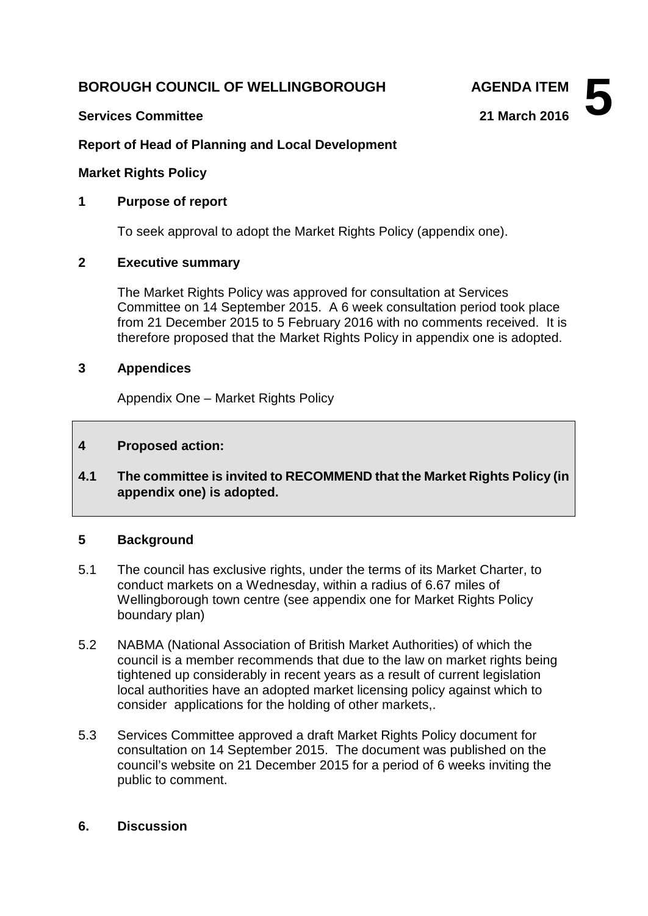# **BOROUGH COUNCIL OF WELLINGBOROUGH AGENDA ITEM**

## **Services Committee 21 March 2016**

**5**

# **Report of Head of Planning and Local Development**

### **Market Rights Policy**

### **1 Purpose of report**

To seek approval to adopt the Market Rights Policy (appendix one).

## **2 Executive summary**

The Market Rights Policy was approved for consultation at Services Committee on 14 September 2015. A 6 week consultation period took place from 21 December 2015 to 5 February 2016 with no comments received. It is therefore proposed that the Market Rights Policy in appendix one is adopted.

### **3 Appendices**

Appendix One – Market Rights Policy

### **4 Proposed action:**

**4.1 The committee is invited to RECOMMEND that the Market Rights Policy (in appendix one) is adopted.**

### **5 Background**

- 5.1 The council has exclusive rights, under the terms of its Market Charter, to conduct markets on a Wednesday, within a radius of 6.67 miles of Wellingborough town centre (see appendix one for Market Rights Policy boundary plan)
- 5.2 NABMA (National Association of British Market Authorities) of which the council is a member recommends that due to the law on market rights being tightened up considerably in recent years as a result of current legislation local authorities have an adopted market licensing policy against which to consider applications for the holding of other markets,.
- 5.3 Services Committee approved a draft Market Rights Policy document for consultation on 14 September 2015. The document was published on the council's website on 21 December 2015 for a period of 6 weeks inviting the public to comment.

### **6. Discussion**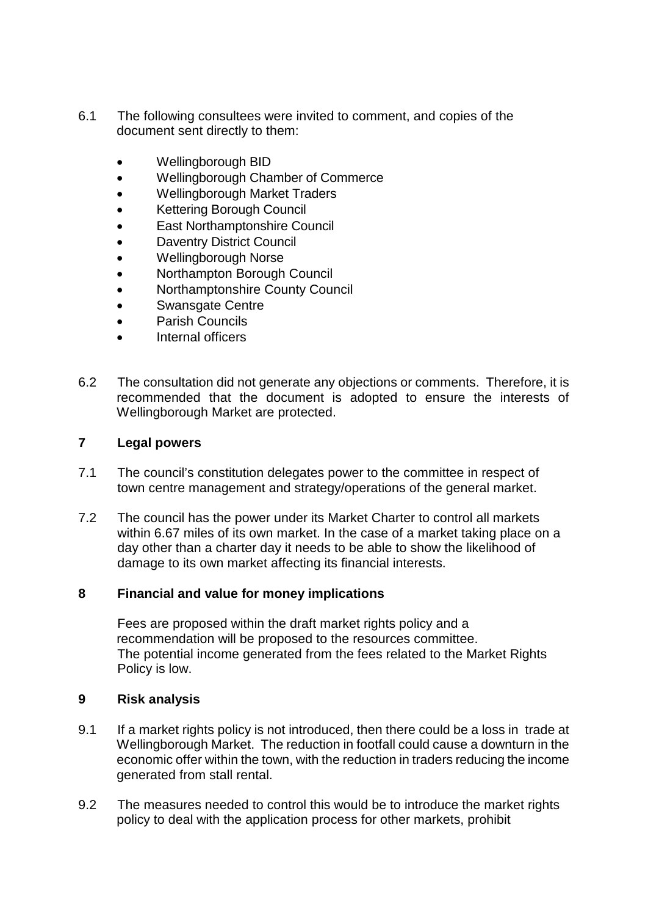- 6.1 The following consultees were invited to comment, and copies of the document sent directly to them:
	- Wellingborough BID
	- Wellingborough Chamber of Commerce
	- Wellingborough Market Traders
	- Kettering Borough Council
	- **East Northamptonshire Council**
	- **Daventry District Council**
	- Wellingborough Norse
	- Northampton Borough Council
	- Northamptonshire County Council
	- Swansgate Centre
	- Parish Councils
	- Internal officers
- 6.2 The consultation did not generate any objections or comments. Therefore, it is recommended that the document is adopted to ensure the interests of Wellingborough Market are protected.

## **7 Legal powers**

- 7.1 The council's constitution delegates power to the committee in respect of town centre management and strategy/operations of the general market.
- 7.2 The council has the power under its Market Charter to control all markets within 6.67 miles of its own market. In the case of a market taking place on a day other than a charter day it needs to be able to show the likelihood of damage to its own market affecting its financial interests.

## **8 Financial and value for money implications**

Fees are proposed within the draft market rights policy and a recommendation will be proposed to the resources committee. The potential income generated from the fees related to the Market Rights Policy is low.

## **9 Risk analysis**

- 9.1 If a market rights policy is not introduced, then there could be a loss in trade at Wellingborough Market. The reduction in footfall could cause a downturn in the economic offer within the town, with the reduction in traders reducing the income generated from stall rental.
- 9.2 The measures needed to control this would be to introduce the market rights policy to deal with the application process for other markets, prohibit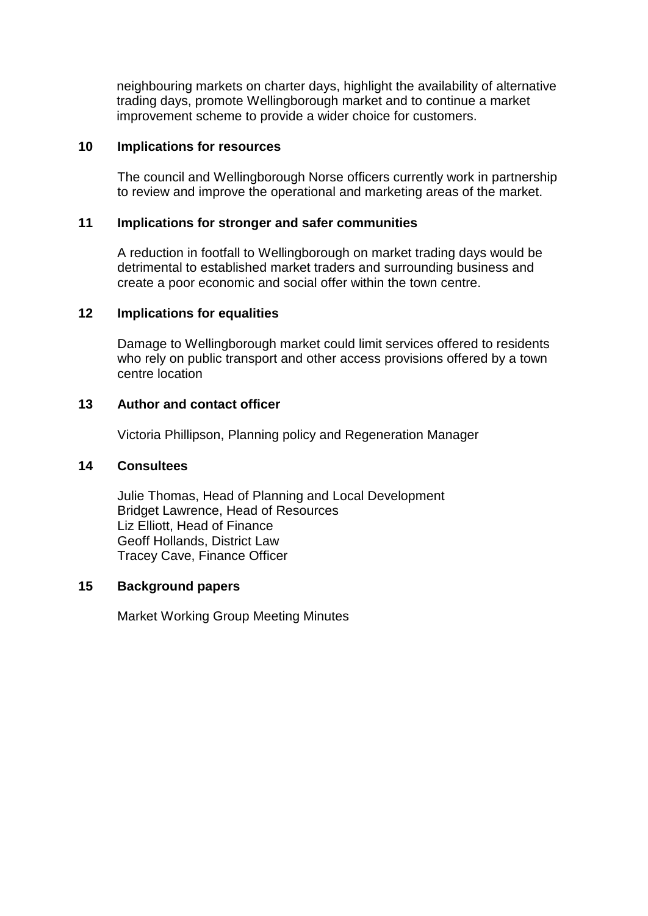neighbouring markets on charter days, highlight the availability of alternative trading days, promote Wellingborough market and to continue a market improvement scheme to provide a wider choice for customers.

### **10 Implications for resources**

The council and Wellingborough Norse officers currently work in partnership to review and improve the operational and marketing areas of the market.

### **11 Implications for stronger and safer communities**

A reduction in footfall to Wellingborough on market trading days would be detrimental to established market traders and surrounding business and create a poor economic and social offer within the town centre.

### **12 Implications for equalities**

Damage to Wellingborough market could limit services offered to residents who rely on public transport and other access provisions offered by a town centre location

### **13 Author and contact officer**

Victoria Phillipson, Planning policy and Regeneration Manager

### **14 Consultees**

Julie Thomas, Head of Planning and Local Development Bridget Lawrence, Head of Resources Liz Elliott, Head of Finance Geoff Hollands, District Law Tracey Cave, Finance Officer

## **15 Background papers**

Market Working Group Meeting Minutes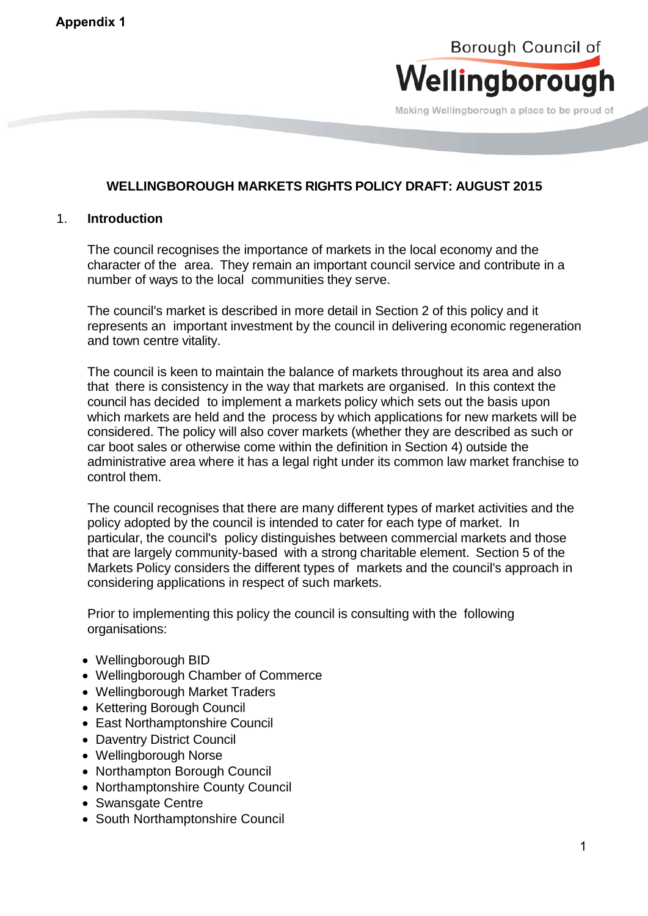# Borough Council of Wellingborough

Making Wellingborough a place to be proud of

# **WELLINGBOROUGH MARKETS RIGHTS POLICY DRAFT: AUGUST 2015**

### 1. **Introduction**

The council recognises the importance of markets in the local economy and the character of the area. They remain an important council service and contribute in a number of ways to the local communities they serve.

The council's market is described in more detail in Section 2 of this policy and it represents an important investment by the council in delivering economic regeneration and town centre vitality.

The council is keen to maintain the balance of markets throughout its area and also that there is consistency in the way that markets are organised. In this context the council has decided to implement a markets policy which sets out the basis upon which markets are held and the process by which applications for new markets will be considered. The policy will also cover markets (whether they are described as such or car boot sales or otherwise come within the definition in Section 4) outside the administrative area where it has a legal right under its common law market franchise to control them.

The council recognises that there are many different types of market activities and the policy adopted by the council is intended to cater for each type of market. In particular, the council's policy distinguishes between commercial markets and those that are largely community-based with a strong charitable element. Section 5 of the Markets Policy considers the different types of markets and the council's approach in considering applications in respect of such markets.

Prior to implementing this policy the council is consulting with the following organisations:

- Wellingborough BID
- Wellingborough Chamber of Commerce
- Wellingborough Market Traders
- Kettering Borough Council
- East Northamptonshire Council
- Daventry District Council
- Wellingborough Norse
- Northampton Borough Council
- Northamptonshire County Council
- Swansgate Centre
- South Northamptonshire Council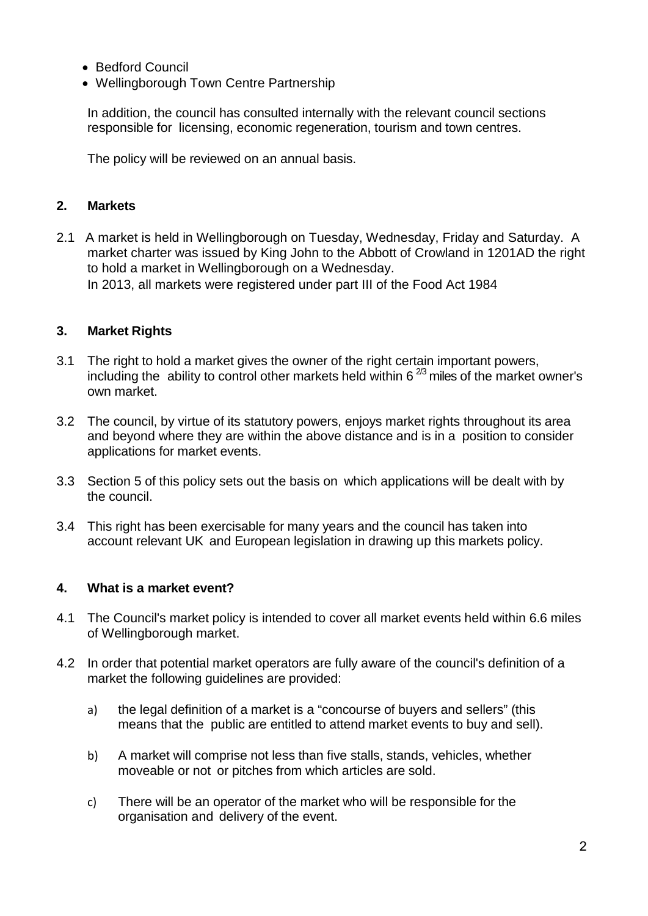- Bedford Council
- Wellingborough Town Centre Partnership

In addition, the council has consulted internally with the relevant council sections responsible for licensing, economic regeneration, tourism and town centres.

The policy will be reviewed on an annual basis.

## **2. Markets**

2.1 A market is held in Wellingborough on Tuesday, Wednesday, Friday and Saturday. A market charter was issued by King John to the Abbott of Crowland in 1201AD the right to hold a market in Wellingborough on a Wednesday. In 2013, all markets were registered under part III of the Food Act 1984

## **3. Market Rights**

- 3.1 The right to hold a market gives the owner of the right certain important powers, including the ability to control other markets held within  $6^{2/3}$  miles of the market owner's own market.
- 3.2 The council, by virtue of its statutory powers, enjoys market rights throughout its area and beyond where they are within the above distance and is in a position to consider applications for market events.
- 3.3 Section 5 of this policy sets out the basis on which applications will be dealt with by the council.
- 3.4 This right has been exercisable for many years and the council has taken into account relevant UK and European legislation in drawing up this markets policy.

### **4. What is a market event?**

- 4.1 The Council's market policy is intended to cover all market events held within 6.6 miles of Wellingborough market.
- 4.2 In order that potential market operators are fully aware of the council's definition of a market the following guidelines are provided:
	- a) the legal definition of a market is a "concourse of buyers and sellers" (this means that the public are entitled to attend market events to buy and sell).
	- b) A market will comprise not less than five stalls, stands, vehicles, whether moveable or not or pitches from which articles are sold.
	- c) There will be an operator of the market who will be responsible for the organisation and delivery of the event.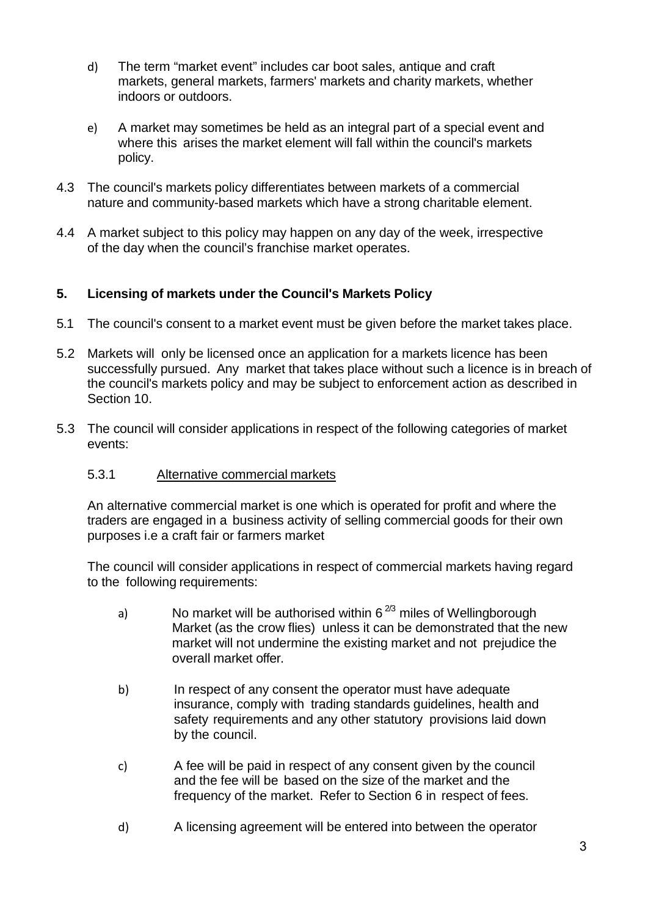- d) The term "market event" includes car boot sales, antique and craft markets, general markets, farmers' markets and charity markets, whether indoors or outdoors.
- e) A market may sometimes be held as an integral part of a special event and where this arises the market element will fall within the council's markets policy.
- 4.3 The council's markets policy differentiates between markets of a commercial nature and community-based markets which have a strong charitable element.
- 4.4 A market subject to this policy may happen on any day of the week, irrespective of the day when the council's franchise market operates.

# **5. Licensing of markets under the Council's Markets Policy**

- 5.1 The council's consent to a market event must be given before the market takes place.
- 5.2 Markets will only be licensed once an application for a markets licence has been successfully pursued. Any market that takes place without such a licence is in breach of the council's markets policy and may be subject to enforcement action as described in Section 10.
- 5.3 The council will consider applications in respect of the following categories of market events:

# 5.3.1 Alternative commercial markets

An alternative commercial market is one which is operated for profit and where the traders are engaged in a business activity of selling commercial goods for their own purposes i.e a craft fair or farmers market

The council will consider applications in respect of commercial markets having regard to the following requirements:

- a) No market will be authorised within  $6^{2/3}$  miles of Wellingborough Market (as the crow flies) unless it can be demonstrated that the new market will not undermine the existing market and not prejudice the overall market offer.
- b) In respect of any consent the operator must have adequate insurance, comply with trading standards guidelines, health and safety requirements and any other statutory provisions laid down by the council.
- c) A fee will be paid in respect of any consent given by the council and the fee will be based on the size of the market and the frequency of the market. Refer to Section 6 in respect of fees.
- d) A licensing agreement will be entered into between the operator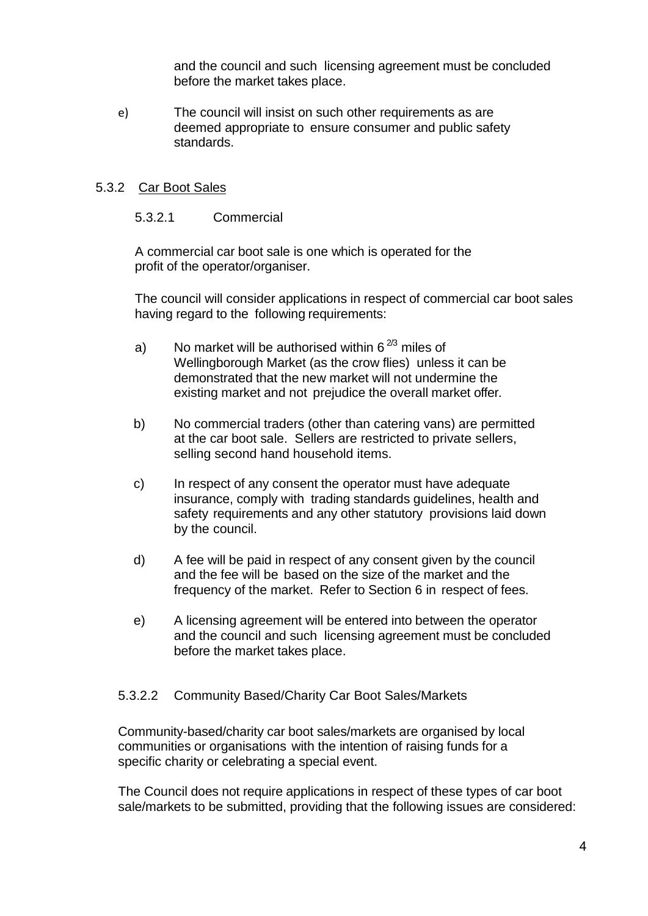and the council and such licensing agreement must be concluded before the market takes place.

e) The council will insist on such other requirements as are deemed appropriate to ensure consumer and public safety standards.

## 5.3.2 Car Boot Sales

### 5.3.2.1 Commercial

A commercial car boot sale is one which is operated for the profit of the operator/organiser.

The council will consider applications in respect of commercial car boot sales having regard to the following requirements:

- a) No market will be authorised within  $6^{2/3}$  miles of Wellingborough Market (as the crow flies) unless it can be demonstrated that the new market will not undermine the existing market and not prejudice the overall market offer.
- b) No commercial traders (other than catering vans) are permitted at the car boot sale. Sellers are restricted to private sellers, selling second hand household items.
- c) In respect of any consent the operator must have adequate insurance, comply with trading standards guidelines, health and safety requirements and any other statutory provisions laid down by the council.
- d) A fee will be paid in respect of any consent given by the council and the fee will be based on the size of the market and the frequency of the market. Refer to Section 6 in respect of fees.
- e) A licensing agreement will be entered into between the operator and the council and such licensing agreement must be concluded before the market takes place.

## 5.3.2.2 Community Based/Charity Car Boot Sales/Markets

Community-based/charity car boot sales/markets are organised by local communities or organisations with the intention of raising funds for a specific charity or celebrating a special event.

The Council does not require applications in respect of these types of car boot sale/markets to be submitted, providing that the following issues are considered: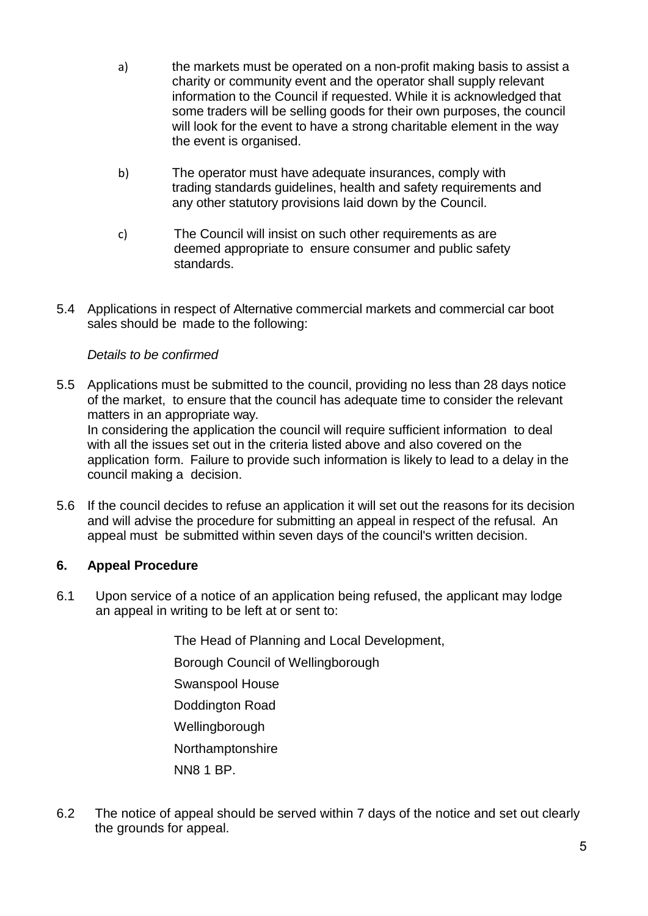- a) the markets must be operated on a non-profit making basis to assist a charity or community event and the operator shall supply relevant information to the Council if requested. While it is acknowledged that some traders will be selling goods for their own purposes, the council will look for the event to have a strong charitable element in the way the event is organised.
- b) The operator must have adequate insurances, comply with trading standards guidelines, health and safety requirements and any other statutory provisions laid down by the Council.
- c) The Council will insist on such other requirements as are deemed appropriate to ensure consumer and public safety standards.
- 5.4 Applications in respect of Alternative commercial markets and commercial car boot sales should be made to the following:

# *Details to be confirmed*

- 5.5 Applications must be submitted to the council, providing no less than 28 days notice of the market, to ensure that the council has adequate time to consider the relevant matters in an appropriate way. In considering the application the council will require sufficient information to deal with all the issues set out in the criteria listed above and also covered on the application form. Failure to provide such information is likely to lead to a delay in the council making a decision.
- 5.6 If the council decides to refuse an application it will set out the reasons for its decision and will advise the procedure for submitting an appeal in respect of the refusal. An appeal must be submitted within seven days of the council's written decision.

# **6. Appeal Procedure**

6.1 Upon service of a notice of an application being refused, the applicant may lodge an appeal in writing to be left at or sent to:

The Head of Planning and Local Development,

Borough Council of Wellingborough

Swanspool House

Doddington Road

Wellingborough

Northamptonshire

NN8 1 BP.

6.2 The notice of appeal should be served within 7 days of the notice and set out clearly the grounds for appeal.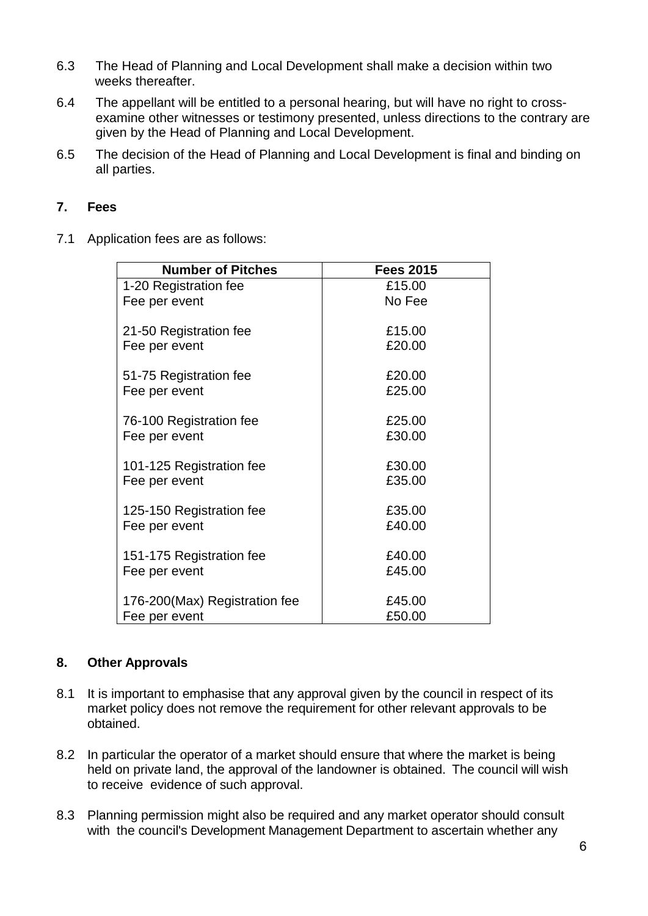- 6.3 The Head of Planning and Local Development shall make a decision within two weeks thereafter.
- 6.4 The appellant will be entitled to a personal hearing, but will have no right to crossexamine other witnesses or testimony presented, unless directions to the contrary are given by the Head of Planning and Local Development.
- 6.5 The decision of the Head of Planning and Local Development is final and binding on all parties.

## **7. Fees**

7.1 Application fees are as follows:

| <b>Number of Pitches</b>       | <b>Fees 2015</b> |
|--------------------------------|------------------|
| 1-20 Registration fee          | £15.00           |
| Fee per event                  | No Fee           |
| 21-50 Registration fee         | £15.00           |
| Fee per event                  | £20.00           |
| 51-75 Registration fee         | £20.00           |
| Fee per event                  | £25.00           |
| 76-100 Registration fee        | £25.00           |
| Fee per event                  | £30.00           |
| 101-125 Registration fee       | £30.00           |
| Fee per event                  | £35.00           |
| 125-150 Registration fee       | £35.00           |
| Fee per event                  | £40.00           |
| 151-175 Registration fee       | £40.00           |
| Fee per event                  | £45.00           |
| 176-200 (Max) Registration fee | £45.00           |
| Fee per event                  | £50.00           |

## **8. Other Approvals**

- 8.1 It is important to emphasise that any approval given by the council in respect of its market policy does not remove the requirement for other relevant approvals to be obtained.
- 8.2 In particular the operator of a market should ensure that where the market is being held on private land, the approval of the landowner is obtained. The council will wish to receive evidence of such approval.
- 8.3 Planning permission might also be required and any market operator should consult with the council's Development Management Department to ascertain whether any